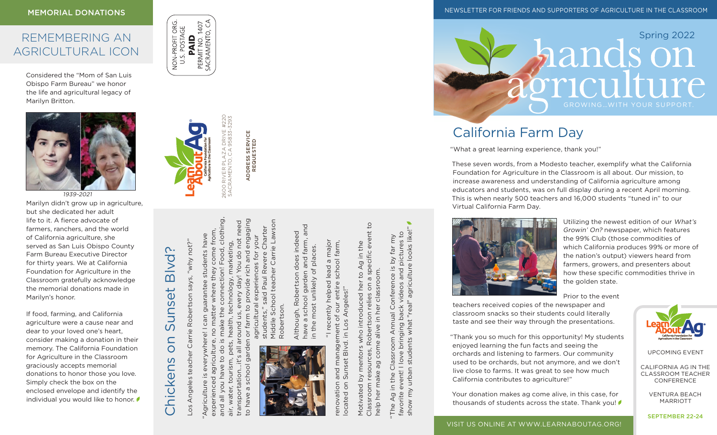### **MEMORIAL DONATIONS**

## REMEMBERING AN AGRICULTURAL ICON

Considered the "Mom of San Luis Obispo Farm Bureau" we honor the life and agricultural legacy of Marilyn Britton.



1939-2021

Marilyn didn't grow up in agriculture, but she dedicated her adult life to it. A fierce advocate of farmers, ranchers, and the world of California agriculture, she served as San Luis Obispo County Farm Bureau Executive Director for thirty years. We at California Foundation for Agriculture in the Classroom gratefully acknowledge the memorial donations made in Marilyn's honor.

If food, farming, and California agriculture were a cause near and dear to your loved one's heart, consider making a donation in their memory. The California Foundation for Agriculture in the Classroom graciously accepts memorial donations to honor those you love. Simply check the box on the enclosed envelope and identify the individual you would like to honor.

### PERMIT NO. 1407<br>SACRAMENTO, CA NON-PROFIT ORG POSTAGE PAID  $\Rightarrow$

®

Los Angeles teacher Carrie Robertson says, "why not?"

Los Angeles teacher Carrie Robertson says,

awhy not?

Chickens on Sunset Blvd?

S

Chickens

Sunset

Blvd?

"Agriculture is everywhere! I can guarantee students have experienced agriculture, no matter where they come from, and all you have to do is make the connection! Food, clothing,

 $\overline{\omega}$ .

guarantee

air, water, tourism, pets, health, technology, marketing, transportation...it's all around us, every day! You do not need

pets,

tourism,

air, water,

health,

technology, marketing,

2600 RIVER PLAZA DRIVE #220 SACRAMENTO, CA 95833-3293

RIVER PLA<br>AMENTO, (

Food, clothing

connection!

make the

and all you have to do

come from students have

they

where

matter

agriculture

experienced Agriculture

You do not ne

ive

 $\overline{5}$ 

around

 $\overline{a}$ 

 $5,1$ 

ansportation

 $\overline{c}$ 

ADDRESS SERVICE REQUESTED

ADDRESS SERVICE<br>REQUESTED



Middle School teacher Carrie Lawson engaging School teacher Carrie Lawson students," said Paul Revere Charter said Paul Revere Charter agricultural experiences for your experiences for your and  $rich$ provide gricultural Robertson. students," **IOS** tarm Middle Robert  $\overline{\sigma}$ 

have a school garden and farm, and and indeed Although, Robertson does indeed and farm, in the most unlikely of places. most unlikely of places.  $\omega$ doe: garden ertson Robe school Although,  $\sigma$ in the I have

 "I recently helped lead a major major renovation and management of our entire school farm, school farm,  $\sigma$ recently helped lead entire Angeles!" located on Sunset Blvd. in Los Angeles!" JIDO  $\sigma$  $20<sup>7</sup>$ agement Blvd. in Sunset and enovation ocated on

Classroom resources, Robertson relies on a specific event to Robertson relies on a specific event to Motivated by mentors who introduced her to Ag in the who introduced her to Ag in the classroom. help her make ag come alive in her classroom.  $\frac{1}{a}$ Motivated by mentors com Classroom resources, ФG make help her

show my urban students what "real" agriculture looks like!" ging back videos and pictures to<br>what "real" agriculture looks like!" far my<br>tures to favorite event! I love bringing back videos and pictures to "The Ag in the Classroom Annual Conference is by far my  $\gtrsim$ onference is I<br>videos and p Conference Annual bringin urban students Classroom love event! | the  $\overline{a}$ . show my  $\overline{Q}$ favorite The.

NEWSLETTER FOR FRIENDS AND SUPPORTERS OF AGRICULTURE IN THE CLASSROOM



# California Farm Day

"What a great learning experience, thank you!"

These seven words, from a Modesto teacher, exemplify what the California Foundation for Agriculture in the Classroom is all about. Our mission, to increase awareness and understanding of California agriculture among educators and students, was on full display during a recent April morning. This is when nearly 500 teachers and 16,000 students "tuned in" to our Virtual California Farm Day.



Utilizing the newest edition of our What's Growin' On? newspaper, which features the 99% Club (those commodities of which California produces 99% or more of the nation's output) viewers heard from farmers, growers, and presenters about how these specific commodities thrive in the golden state.

Prior to the event

teachers received copies of the newspaper and classroom snacks so their students could literally taste and see their way through the presentations.

"Thank you so much for this opportunity! My students enjoyed learning the fun facts and seeing the orchards and listening to farmers. Our community used to be orchards, but not anymore, and we don't live close to farms. It was great to see how much California contributes to agriculture!"

Your donation makes ag come alive, in this case, for thousands of students across the state. Thank you!



UPCOMING EVENT

CALIFORNIA AG IN THE CLASSROOM TEACHER CONFERENCE

> VENTURA BEACH MARRIOTT

SEPTEMBER 22-24

VISIT US ONLINE AT WWW.LEARNABOUTAG.ORG!